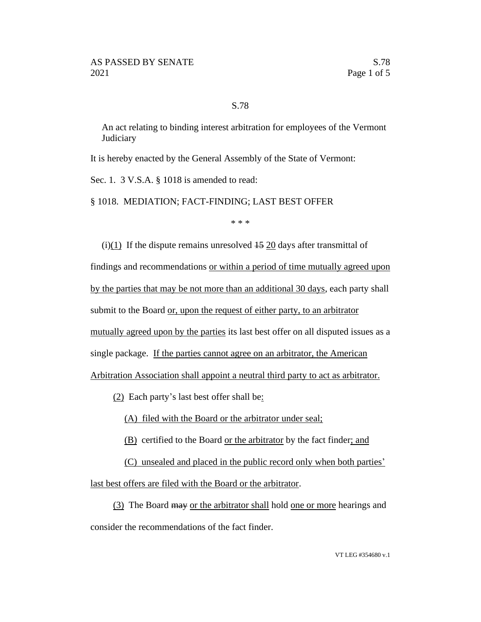## S.78

An act relating to binding interest arbitration for employees of the Vermont **Judiciary** 

It is hereby enacted by the General Assembly of the State of Vermont:

Sec. 1. 3 V.S.A. § 1018 is amended to read:

§ 1018. MEDIATION; FACT-FINDING; LAST BEST OFFER

\* \* \*

 $(i)(1)$  If the dispute remains unresolved  $15$  20 days after transmittal of findings and recommendations or within a period of time mutually agreed upon by the parties that may be not more than an additional 30 days, each party shall submit to the Board or, upon the request of either party, to an arbitrator mutually agreed upon by the parties its last best offer on all disputed issues as a single package. If the parties cannot agree on an arbitrator, the American

Arbitration Association shall appoint a neutral third party to act as arbitrator.

(2) Each party's last best offer shall be:

(A) filed with the Board or the arbitrator under seal;

(B) certified to the Board or the arbitrator by the fact finder; and

(C) unsealed and placed in the public record only when both parties'

last best offers are filed with the Board or the arbitrator.

(3) The Board may or the arbitrator shall hold one or more hearings and consider the recommendations of the fact finder.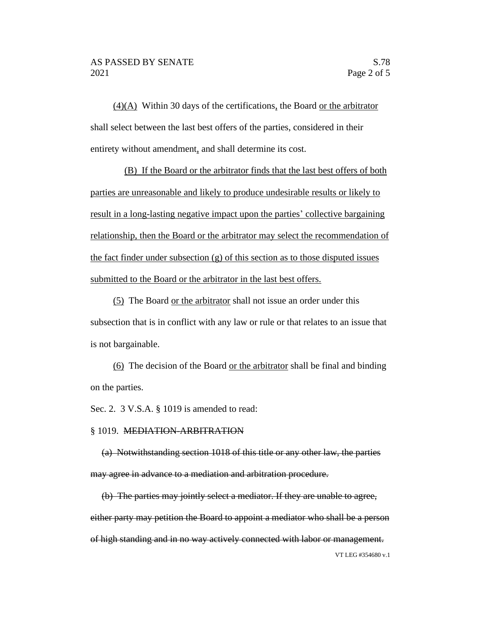(4)(A) Within 30 days of the certifications, the Board or the arbitrator shall select between the last best offers of the parties, considered in their entirety without amendment, and shall determine its cost.

(B) If the Board or the arbitrator finds that the last best offers of both parties are unreasonable and likely to produce undesirable results or likely to result in a long-lasting negative impact upon the parties' collective bargaining relationship, then the Board or the arbitrator may select the recommendation of the fact finder under subsection (g) of this section as to those disputed issues submitted to the Board or the arbitrator in the last best offers.

(5) The Board or the arbitrator shall not issue an order under this subsection that is in conflict with any law or rule or that relates to an issue that is not bargainable.

(6) The decision of the Board or the arbitrator shall be final and binding on the parties.

Sec. 2. 3 V.S.A. § 1019 is amended to read:

## § 1019. MEDIATION-ARBITRATION

(a) Notwithstanding section 1018 of this title or any other law, the parties may agree in advance to a mediation and arbitration procedure.

VT LEG #354680 v.1 (b) The parties may jointly select a mediator. If they are unable to agree, either party may petition the Board to appoint a mediator who shall be a person of high standing and in no way actively connected with labor or management.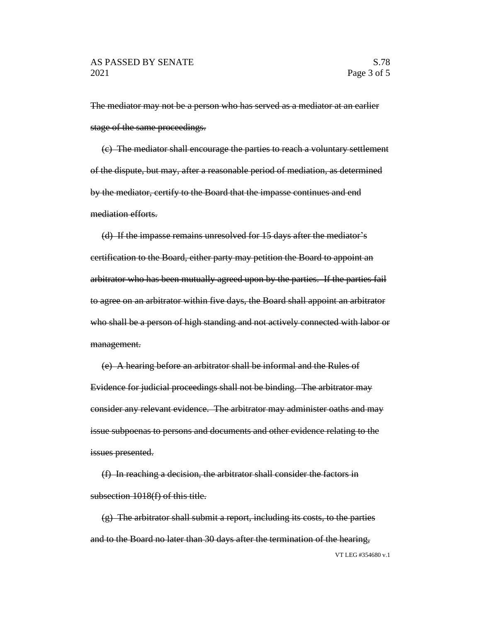The mediator may not be a person who has served as a mediator at an earlier stage of the same proceedings.

(c) The mediator shall encourage the parties to reach a voluntary settlement of the dispute, but may, after a reasonable period of mediation, as determined by the mediator, certify to the Board that the impasse continues and end mediation efforts.

(d) If the impasse remains unresolved for 15 days after the mediator's certification to the Board, either party may petition the Board to appoint an arbitrator who has been mutually agreed upon by the parties. If the parties fail to agree on an arbitrator within five days, the Board shall appoint an arbitrator who shall be a person of high standing and not actively connected with labor or management.

(e) A hearing before an arbitrator shall be informal and the Rules of Evidence for judicial proceedings shall not be binding. The arbitrator may consider any relevant evidence. The arbitrator may administer oaths and may issue subpoenas to persons and documents and other evidence relating to the issues presented.

(f) In reaching a decision, the arbitrator shall consider the factors in subsection 1018(f) of this title.

VT LEG #354680 v.1 (g) The arbitrator shall submit a report, including its costs, to the parties and to the Board no later than 30 days after the termination of the hearing,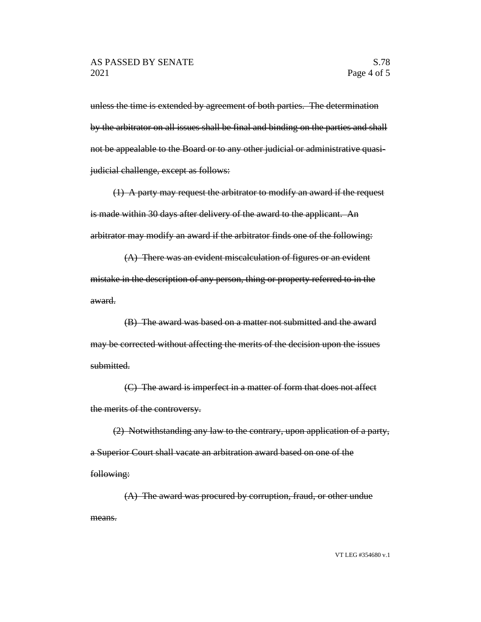unless the time is extended by agreement of both parties. The determination by the arbitrator on all issues shall be final and binding on the parties and shall not be appealable to the Board or to any other judicial or administrative quasijudicial challenge, except as follows:

(1) A party may request the arbitrator to modify an award if the request is made within 30 days after delivery of the award to the applicant. An arbitrator may modify an award if the arbitrator finds one of the following:

(A) There was an evident miscalculation of figures or an evident mistake in the description of any person, thing or property referred to in the award.

(B) The award was based on a matter not submitted and the award may be corrected without affecting the merits of the decision upon the issues submitted.

(C) The award is imperfect in a matter of form that does not affect the merits of the controversy.

(2) Notwithstanding any law to the contrary, upon application of a party, a Superior Court shall vacate an arbitration award based on one of the following:

(A) The award was procured by corruption, fraud, or other undue means.